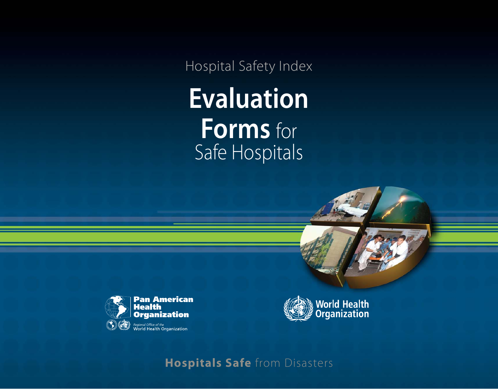Hospital Safety Index **Evaluation Forms** for Safe Hospitals





**Hospitals Safe** from Disasters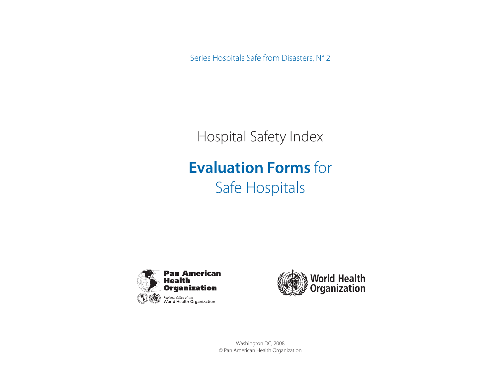Series Hospitals Safe from Disasters, N° 2

Hospital Safety Index

# **Evaluation Forms** for Safe Hospitals





Washington DC, 2008 © Pan American Health Organization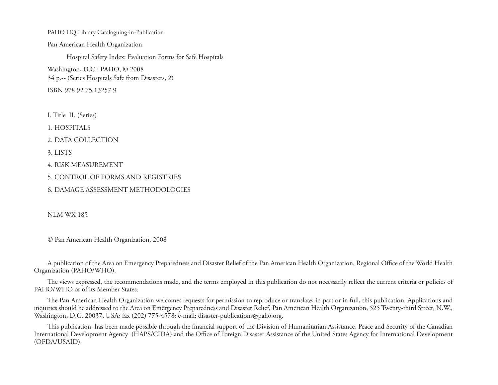PAHO HQ Library Cataloguing-in-Publication Pan American Health Organization Hospital Safety Index: Evaluation Forms for Safe Hospitals Washington, D.C.: PAHO, © 2008 34 p.-- (Series Hospitals Safe from Disasters, 2) ISBN 978 92 75 13257 9

I. Title II. (Series)

1. HOSPITALS

2. DATA COLLECTION

3. LISTS

4. RISK MEASUREMENT

5. CONTROL OF FORMS AND REGISTRIES

6. DAMAGE ASSESSMENT METHODOLOGIES

NLM WX 185

© Pan American Health Organization, 2008

A publication of the Area on Emergency Preparedness and Disaster Relief of the Pan American Health Organization, Regional Office of the World Health Organization (PAHO/WHO).

The views expressed, the recommendations made, and the terms employed in this publication do not necessarily reflect the current criteria or policies of PAHO/WHO or of its Member States.

The Pan American Health Organization welcomes requests for permission to reproduce or translate, in part or in full, this publication. Applications and inquiries should be addressed to the Area on Emergency Preparedness and Disaster Relief, Pan American Health Organization, 525 Twenty-third Street, N.W., Washington, D.C. 20037, USA; fax (202) 775-4578; e-mail: disaster-publications@paho.org.

This publication has been made possible through the financial support of the Division of Humanitarian Assistance, Peace and Security of the Canadian International Development Agency (HAPS/CIDA) and the Office of Foreign Disaster Assistance of the United States Agency for International Development (OFDA/USAID).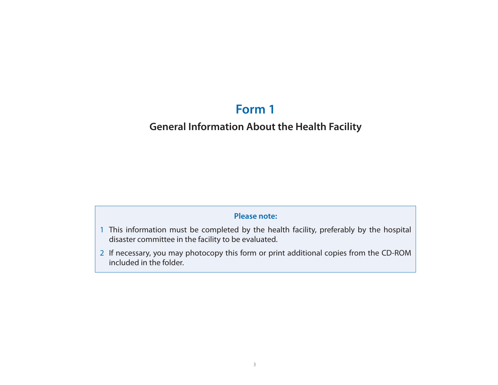## **Form 1**

## **General Information About the Health Facility**

### **Please note:**

- 1 This information must be completed by the health facility, preferably by the hospital disaster committee in the facility to be evaluated.
- 2 If necessary, you may photocopy this form or print additional copies from the CD-ROM included in the folder.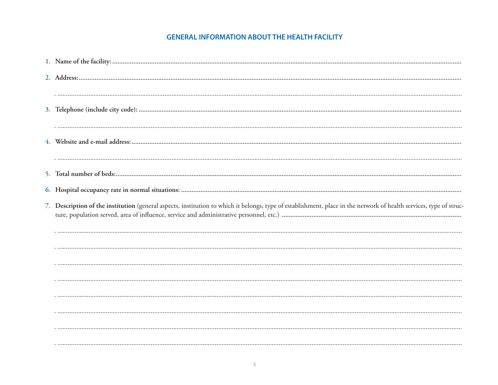### **GENERAL INFORMATION ABOUT THE HEALTH FACILITY**

| 7. Description of the institution (general aspects, institution to which it belongs, type of establishment, place in the network of health services, type of struc- |
|---------------------------------------------------------------------------------------------------------------------------------------------------------------------|
|                                                                                                                                                                     |
|                                                                                                                                                                     |
|                                                                                                                                                                     |
|                                                                                                                                                                     |
|                                                                                                                                                                     |
|                                                                                                                                                                     |
|                                                                                                                                                                     |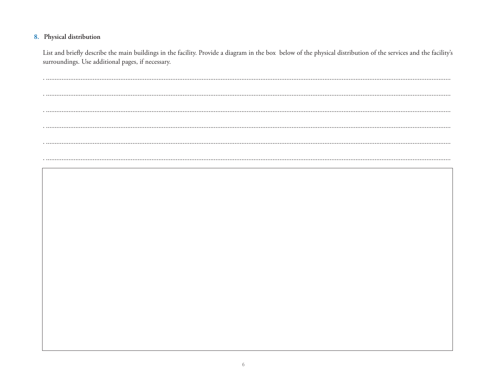### 8. Physical distribution

List and briefly describe the main buildings in the facility. Provide a diagram in the box below of the physical distribution of the services and the facility's surroundings. Use additional pages, if necessary.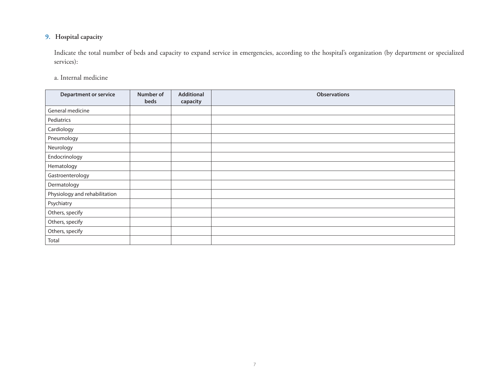### **9. Hospital capacity**

 Indicate the total number of beds and capacity to expand service in emergencies, according to the hospital's organization (by department or specialized services):

a. Internal medicine

| <b>Department or service</b>  | Number of<br>beds | Additional<br>capacity | <b>Observations</b> |
|-------------------------------|-------------------|------------------------|---------------------|
| General medicine              |                   |                        |                     |
| Pediatrics                    |                   |                        |                     |
| Cardiology                    |                   |                        |                     |
| Pneumology                    |                   |                        |                     |
| Neurology                     |                   |                        |                     |
| Endocrinology                 |                   |                        |                     |
| Hematology                    |                   |                        |                     |
| Gastroenterology              |                   |                        |                     |
| Dermatology                   |                   |                        |                     |
| Physiology and rehabilitation |                   |                        |                     |
| Psychiatry                    |                   |                        |                     |
| Others, specify               |                   |                        |                     |
| Others, specify               |                   |                        |                     |
| Others, specify               |                   |                        |                     |
| Total                         |                   |                        |                     |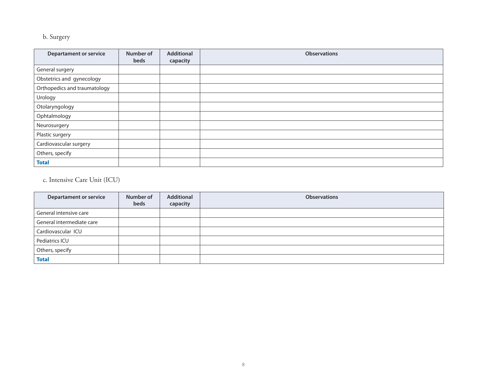### b. Surgery

| <b>Departament or service</b> | Number of<br>beds | <b>Additional</b><br>capacity | <b>Observations</b> |
|-------------------------------|-------------------|-------------------------------|---------------------|
| General surgery               |                   |                               |                     |
| Obstetrics and gynecology     |                   |                               |                     |
| Orthopedics and traumatology  |                   |                               |                     |
| Urology                       |                   |                               |                     |
| Otolaryngology                |                   |                               |                     |
| Ophtalmology                  |                   |                               |                     |
| Neurosurgery                  |                   |                               |                     |
| Plastic surgery               |                   |                               |                     |
| Cardiovascular surgery        |                   |                               |                     |
| Others, specify               |                   |                               |                     |
| <b>Total</b>                  |                   |                               |                     |

c. Intensive Care Unit (ICU)

| <b>Departament or service</b> | Number of<br>beds | Additional<br>capacity | <b>Observations</b> |
|-------------------------------|-------------------|------------------------|---------------------|
| General intensive care        |                   |                        |                     |
| General intermediate care     |                   |                        |                     |
| Cardiovascular ICU            |                   |                        |                     |
| Pediatrics ICU                |                   |                        |                     |
| Others, specify               |                   |                        |                     |
| <b>Total</b>                  |                   |                        |                     |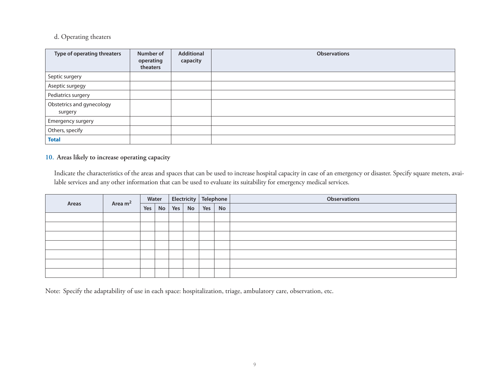### d. Operating theaters

| Type of operating threaters          | Number of<br>operating<br>theaters | Additional<br>capacity | <b>Observations</b> |
|--------------------------------------|------------------------------------|------------------------|---------------------|
| Septic surgery                       |                                    |                        |                     |
| Aseptic surgegy                      |                                    |                        |                     |
| Pediatrics surgery                   |                                    |                        |                     |
| Obstetrics and gynecology<br>surgery |                                    |                        |                     |
| Emergency surgery                    |                                    |                        |                     |
| Others, specify                      |                                    |                        |                     |
| <b>Total</b>                         |                                    |                        |                     |

### **10. Areas likely to increase operating capacity**

 Indicate the characteristics of the areas and spaces that can be used to increase hospital capacity in case of an emergency or disaster. Specify square meters, available services and any other information that can be used to evaluate its suitability for emergency medical services.

|       | Area m <sup>2</sup> |     | Water |     |    |     | Electricity Telephone |  | <b>Observations</b> |
|-------|---------------------|-----|-------|-----|----|-----|-----------------------|--|---------------------|
| Areas |                     | Yes | No    | Yes | No | Yes | No                    |  |                     |
|       |                     |     |       |     |    |     |                       |  |                     |
|       |                     |     |       |     |    |     |                       |  |                     |
|       |                     |     |       |     |    |     |                       |  |                     |
|       |                     |     |       |     |    |     |                       |  |                     |
|       |                     |     |       |     |    |     |                       |  |                     |
|       |                     |     |       |     |    |     |                       |  |                     |
|       |                     |     |       |     |    |     |                       |  |                     |

Note: Specify the adaptability of use in each space: hospitalization, triage, ambulatory care, observation, etc.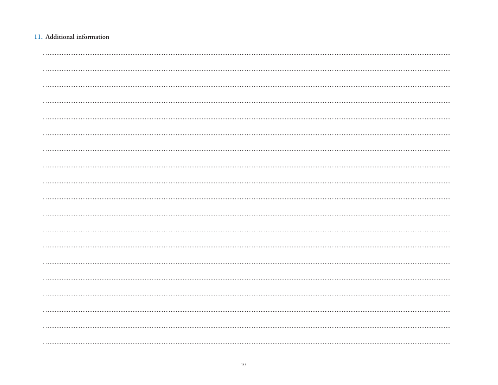### 11. Additional information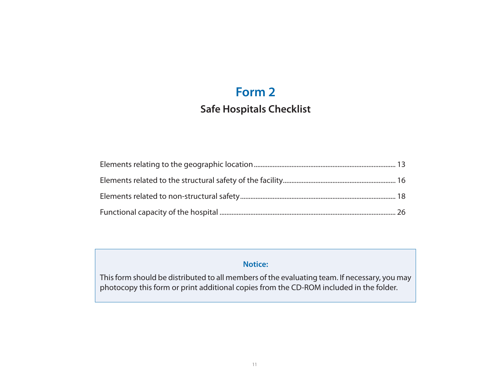## **Form 2**

## **Safe Hospitals Checklist**

### **Notice:**

This form should be distributed to all members of the evaluating team. If necessary, you may photocopy this form or print additional copies from the CD-ROM included in the folder.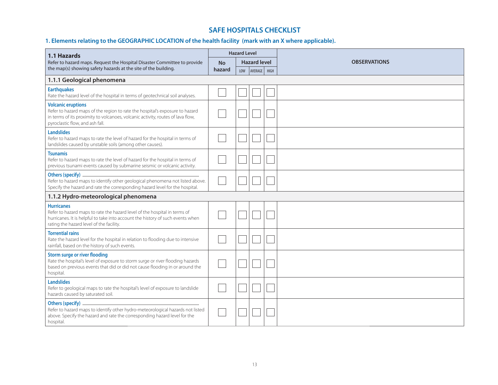### **SAFE HOSPITALS CHECKLIST**

### **1. Elements relating to the GEOGRAPHIC LOCATION of the health facility (mark with an X where applicable).**

| 1.1 Hazards                                                                                                                                                                                                                     |           | <b>Hazard Level</b> |                     |      |                     |
|---------------------------------------------------------------------------------------------------------------------------------------------------------------------------------------------------------------------------------|-----------|---------------------|---------------------|------|---------------------|
| Refer to hazard maps. Request the Hospital Disaster Committee to provide                                                                                                                                                        | <b>No</b> |                     | <b>Hazard level</b> |      | <b>OBSERVATIONS</b> |
| the map(s) showing safety hazards at the site of the building.<br>hazard                                                                                                                                                        |           | LOW                 | AVERAGE             | HIGH |                     |
| 1.1.1 Geological phenomena                                                                                                                                                                                                      |           |                     |                     |      |                     |
| <b>Earthquakes</b><br>Rate the hazard level of the hospital in terms of geotechnical soil analyses.                                                                                                                             |           |                     |                     |      |                     |
| <b>Volcanic eruptions</b><br>Refer to hazard maps of the region to rate the hospital's exposure to hazard<br>in terms of its proximity to volcanoes, volcanic activity, routes of lava flow,<br>pyroclastic flow, and ash fall. |           |                     |                     |      |                     |
| <b>Landslides</b><br>Refer to hazard maps to rate the level of hazard for the hospital in terms of<br>landslides caused by unstable soils (among other causes).                                                                 |           |                     |                     |      |                     |
| <b>Tsunamis</b><br>Refer to hazard maps to rate the level of hazard for the hospital in terms of<br>previous tsunami events caused by submarine seismic or volcanic activity.                                                   |           |                     |                     |      |                     |
| Refer to hazard maps to identify other geological phenomena not listed above.<br>Specify the hazard and rate the corresponding hazard level for the hospital.                                                                   |           |                     |                     |      |                     |
| 1.1.2 Hydro-meteorological phenomena                                                                                                                                                                                            |           |                     |                     |      |                     |
| <b>Hurricanes</b><br>Refer to hazard maps to rate the hazard level of the hospital in terms of<br>hurricanes. It is helpful to take into account the history of such events when<br>rating the hazard level of the facility.    |           |                     |                     |      |                     |
| <b>Torrential rains</b><br>Rate the hazard level for the hospital in relation to flooding due to intensive<br>rainfall, based on the history of such events.                                                                    |           |                     |                     |      |                     |
| <b>Storm surge or river flooding</b><br>Rate the hospital's level of exposure to storm surge or river flooding hazards<br>based on previous events that did or did not cause flooding in or around the<br>hospital.             |           |                     |                     |      |                     |
| <b>Landslides</b><br>Refer to geological maps to rate the hospital's level of exposure to landslide<br>hazards caused by saturated soil.                                                                                        |           |                     |                     |      |                     |
| Refer to hazard maps to identify other hydro-meteorological hazards not listed<br>above. Specify the hazard and rate the corresponding hazard level for the<br>hospital.                                                        |           |                     |                     |      |                     |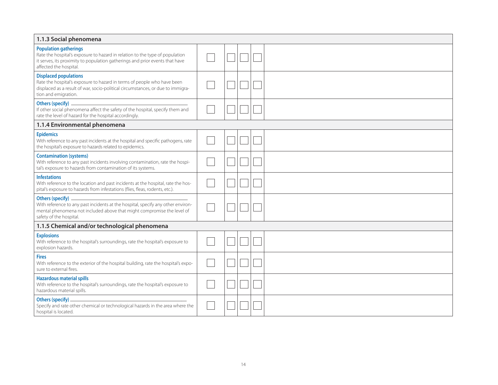| 1.1.3 Social phenomena                                                                                                                                                                                                 |  |  |  |
|------------------------------------------------------------------------------------------------------------------------------------------------------------------------------------------------------------------------|--|--|--|
| <b>Population gatherings</b><br>Rate the hospital's exposure to hazard in relation to the type of population<br>it serves, its proximity to population gatherings and prior events that have<br>affected the hospital. |  |  |  |
| <b>Displaced populations</b><br>Rate the hospital's exposure to hazard in terms of people who have been<br>displaced as a result of war, socio-political circumstances, or due to immigra-<br>tion and emigration.     |  |  |  |
| If other social phenomena affect the safety of the hospital, specify them and<br>rate the level of hazard for the hospital accordingly.                                                                                |  |  |  |
| 1.1.4 Environmental phenomena                                                                                                                                                                                          |  |  |  |
| <b>Epidemics</b><br>With reference to any past incidents at the hospital and specific pathogens, rate<br>the hospital's exposure to hazards related to epidemics.                                                      |  |  |  |
| <b>Contamination (systems)</b><br>With reference to any past incidents involving contamination, rate the hospi-<br>tal's exposure to hazards from contamination of its systems.                                        |  |  |  |
| <b>Infestations</b><br>With reference to the location and past incidents at the hospital, rate the hos-<br>pital's exposure to hazards from infestations (flies, fleas, rodents, etc.).                                |  |  |  |
| With reference to any past incidents at the hospital, specify any other environ-<br>mental phenomena not included above that might compromise the level of<br>safety of the hospital.                                  |  |  |  |
| 1.1.5 Chemical and/or technological phenomena                                                                                                                                                                          |  |  |  |
| <b>Explosions</b><br>With reference to the hospital's surroundings, rate the hospital's exposure to<br>explosion hazards.                                                                                              |  |  |  |
| <b>Fires</b><br>With reference to the exterior of the hospital building, rate the hospital's expo-<br>sure to external fires.                                                                                          |  |  |  |
| <b>Hazardous material spills</b><br>With reference to the hospital's surroundings, rate the hospital's exposure to<br>hazardous material spills.                                                                       |  |  |  |
| Specify and rate other chemical or technological hazards in the area where the<br>hospital is located.                                                                                                                 |  |  |  |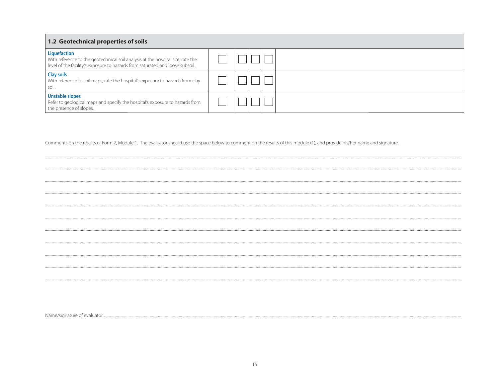| 1.2 Geotechnical properties of soils                                                                                                                                             |  |  |  |
|----------------------------------------------------------------------------------------------------------------------------------------------------------------------------------|--|--|--|
| Liquefaction<br>With reference to the geotechnical soil analysis at the hospital site, rate the<br>level of the facility's exposure to hazards from saturated and loose subsoil. |  |  |  |
| <b>Clay soils</b><br>With reference to soil maps, rate the hospital's exposure to hazards from clay<br>soil.                                                                     |  |  |  |
| Unstable slopes<br>Refer to geological maps and specify the hospital's exposure to hazards from<br>the presence of slopes.                                                       |  |  |  |

Comments on the results of Form 2, Module 1. The evaluator should use the space below to comment on the results of this module (1), and provide his/her name and signature.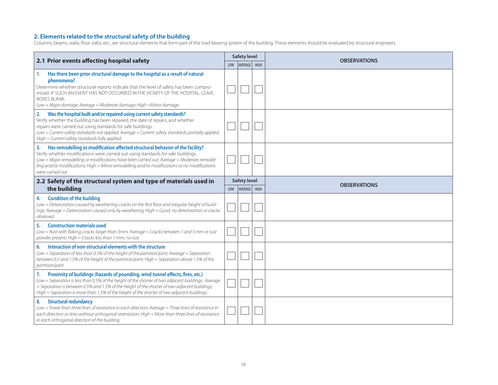#### **2. Elements related to the structural safety of the building**

Columns, beams, walls, floor slabs, etc., are structural elements that form part of the load-bearing system of the building. These elements should be evaluated by structural engineers.

|                                                                                                                                                                                                                                                                                                                                                                                              |            | <b>Safety level</b>                   |             | <b>OBSERVATIONS</b> |
|----------------------------------------------------------------------------------------------------------------------------------------------------------------------------------------------------------------------------------------------------------------------------------------------------------------------------------------------------------------------------------------------|------------|---------------------------------------|-------------|---------------------|
| 2.1 Prior events affecting hospital safety                                                                                                                                                                                                                                                                                                                                                   | <b>LOW</b> | AVERAGE                               | <b>HIGH</b> |                     |
| Has there been prior structural damage to the hospital as a result of natural<br>1.<br>phenomena?<br>Determine whether structural reports indicate that the level of safety has been compro-<br>mised. IF SUCH AN EVENT HAS NOT OCCURRED IN THE VICINITY OF THE HOSPITAL, LEAVE<br><b>BOXES BLANK.</b><br>Low = Major damage; Average = Moderate damage; High = Minor damage.                |            |                                       |             |                     |
| Was the hospital built and/or repaired using current safety standards?<br>2.<br>Verify whether the building has been repaired, the date of repairs, and whether<br>repairs were carried out using standards for safe buildings.<br>Low = Current safety standards not applied; Average = Current safety standards partially applied;<br>High = Current safety standards fully applied.       |            |                                       |             |                     |
| Has remodelling or modification affected structural behavior of the facility?<br>3.<br>Verify whether modifications were carried out using standards for safe buildings.<br>Low = Major remodelling or modifications have been carried out; Average = Moderate remodel-<br>ling and/or modifications; High = Minor remodelling and/or modifications or no modifications<br>were carried out. |            |                                       |             |                     |
| 2.2 Safety of the structural system and type of materials used in<br>the building                                                                                                                                                                                                                                                                                                            | <b>LOW</b> | <b>Safety level</b><br><b>AVERAGE</b> | <b>HIGH</b> | <b>OBSERVATIONS</b> |
| <b>Condition of the building</b><br>4.<br>Low = Deterioration caused by weathering; cracks on the first floor and irregular height of build-<br>ings; Average = Deterioration caused only by weathering; High = Good; no deterioration or cracks<br>observed.                                                                                                                                |            |                                       |             |                     |
| <b>Construction materials used</b><br>5.<br>Low = Rust with flaking; cracks larger than 3mm; Average = Cracks between 1 and 3 mm or rust<br>powder present; High = Cracks less than 1 mm; no rust.                                                                                                                                                                                           |            |                                       |             |                     |
| Interaction of non-structural elements with the structure<br>6.<br>Low = Separation of less than 0.5% of the height of the partition/joint; Average = Separation<br>between 0.5 and 1.5% of the height of the partition/joint; High = Separation above 1.5% of the<br>partition/joint.                                                                                                       |            |                                       |             |                     |
| Proximity of buildings (hazards of pounding, wind tunnel effects, fires, etc.)<br>7.<br>Low = Separation is less than 0.5% of the height of the shorter of two adjacent buildings; Average<br>= Separation is between 0.5% and 1.5% of the height of the shorter of two adjacent buildings;<br>High = Separation is more than 1.5% of the height of the shorter of two adjacent buildings.   |            |                                       |             |                     |
| <b>Structural redundancy</b><br>8.<br>Low = Fewer than three lines of resistance in each direction; Average = Three lines of resistance in<br>each direction or lines without orthogonal orientation; High = More than three lines of resistance<br>in each orthogonal direction of the building.                                                                                            |            |                                       |             |                     |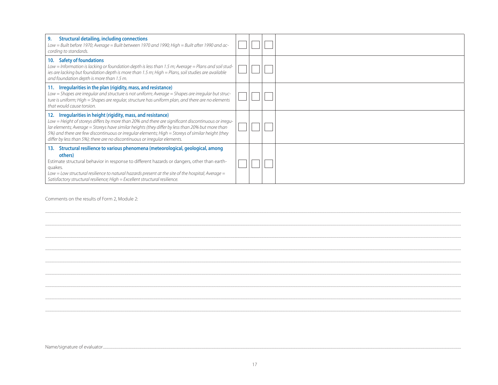| <b>Structural detailing, including connections</b><br>9.<br>Low = Built before 1970; Average = Built between 1970 and 1990; High = Built after 1990 and ac-<br>cording to standards.                                                                                                                                                                                                                                                                           |  |  |
|----------------------------------------------------------------------------------------------------------------------------------------------------------------------------------------------------------------------------------------------------------------------------------------------------------------------------------------------------------------------------------------------------------------------------------------------------------------|--|--|
| <b>Safety of foundations</b><br>10.<br>Low = Information is lacking or foundation depth is less than 1.5 m; Average = Plans and soil stud-<br>ies are lacking but foundation depth is more than 1.5 m; High = Plans, soil studies are available<br>and foundation depth is more than 1.5 m.                                                                                                                                                                    |  |  |
| 11. Irregularities in the plan (rigidity, mass, and resistance)<br>Low = Shapes are irregular and structure is not uniform; Average = Shapes are irregular but struc-<br>ture is uniform; High = Shapes are regular, structure has uniform plan, and there are no elements<br>that would cause torsion.                                                                                                                                                        |  |  |
| Irregularities in height (rigidity, mass, and resistance)<br>12.<br>Low = Height of storeys differs by more than 20% and there are significant discontinuous or irregu-<br>lar elements; Average = Storeys have similar heights (they differ by less than 20% but more than<br>5%) and there are few discontinuous or irregular elements; High = Storeys of similar height (they<br>differ by less than 5%); there are no discontinuous or irregular elements. |  |  |
| Structural resilience to various phenomena (meteorological, geological, among<br>13.<br>others)<br>Estimate structural behavior in response to different hazards or dangers, other than earth-<br>quakes.<br>Low = Low structural resilience to natural hazards present at the site of the hospital; Average =<br>Satisfactory structural resilience; High = Excellent structural resilience.                                                                  |  |  |

Comments on the results of Form 2, Module 2: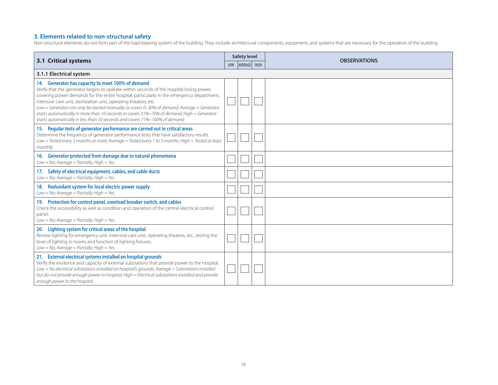#### **3. Elements related to non-structural safety**

Non-structural elements do not form part of the load-bearing system of the building. They include architectural components, equipment, and systems that are necessary for the operation of the building.

|                                                                                                                                                                                                                                                                                                                                                                                                                                                                                                                                                                                             |     | <b>Safety level</b> | <b>OBSERVATIONS</b> |
|---------------------------------------------------------------------------------------------------------------------------------------------------------------------------------------------------------------------------------------------------------------------------------------------------------------------------------------------------------------------------------------------------------------------------------------------------------------------------------------------------------------------------------------------------------------------------------------------|-----|---------------------|---------------------|
| <b>3.1 Critical systems</b>                                                                                                                                                                                                                                                                                                                                                                                                                                                                                                                                                                 | LOW | AVERAGE   HIGH      |                     |
| 3.1.1 Electrical system                                                                                                                                                                                                                                                                                                                                                                                                                                                                                                                                                                     |     |                     |                     |
| 14. Generator has capacity to meet 100% of demand<br>Verify that the generator begins to operate within seconds of the hospital losing power,<br>covering power demands for the entire hospital, particularly in the emergency department,<br>intensive care unit, sterilization unit, operating theatres, etc.<br>Low = Generator can only be started manually or covers 0–30% of demand; Average = Generator<br>starts automatically in more than 10 seconds or covers 31%-70% of demand; High = Generator<br>starts automatically in less than 10 seconds and covers 71%-100% of demand. |     |                     |                     |
| 15. Regular tests of generator performance are carried out in critical areas<br>Determine the frequency of generator performance tests that have satisfactory results.<br>Low = Tested every 3 months or more; Average = Tested every 1 to 3 months; High = Tested at least<br>monthly.                                                                                                                                                                                                                                                                                                     |     |                     |                     |
| 16. Generator protected from damage due to natural phenomena<br>$Low = No; Average = Partially; High = Yes.$                                                                                                                                                                                                                                                                                                                                                                                                                                                                                |     |                     |                     |
| 17. Safety of electrical equipment, cables, and cable ducts<br>$Low = No; Average = Partially; High = Yes.$                                                                                                                                                                                                                                                                                                                                                                                                                                                                                 |     |                     |                     |
| 18. Redundant system for local electric power supply<br>$Low = No; Average = Partially; High = Yes.$                                                                                                                                                                                                                                                                                                                                                                                                                                                                                        |     |                     |                     |
| 19. Protection for control panel, overload breaker switch, and cables<br>Check the accessibility as well as condition and operation of the central electrical control<br>panel.<br>$Low = No; Average = Partially; High = Yes.$                                                                                                                                                                                                                                                                                                                                                             |     |                     |                     |
| 20. Lighting system for critical areas of the hospital<br>Review lighting for emergency unit, intensive care unit, operating theatres, etc., testing the<br>level of lighting in rooms and function of lighting fixtures.<br>$Low = No$ ; Average = Partially; High = Yes.                                                                                                                                                                                                                                                                                                                  |     |                     |                     |
| 21. External electrical systems installed on hospital grounds<br>Verify the existence and capacity of external substations that provide power to the hospital.<br>Low = No electrical substations installed on hospital's grounds; Average = Substations installed<br>but do not provide enough power to hospital; High = Electrical substations installed and provide<br>enough power to the hospital.                                                                                                                                                                                     |     |                     |                     |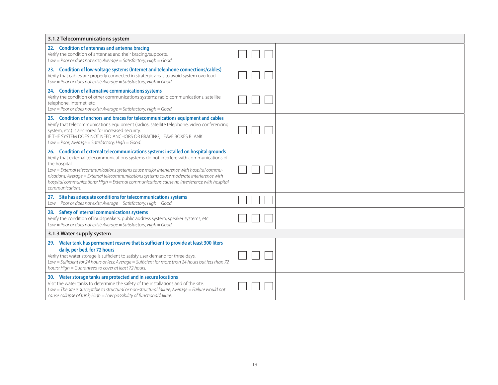| 3.1.2 Telecommunications system                                                                                                                                                                                                                                                                                                                                                                                                                                                                          |  |  |  |  |  |  |  |  |
|----------------------------------------------------------------------------------------------------------------------------------------------------------------------------------------------------------------------------------------------------------------------------------------------------------------------------------------------------------------------------------------------------------------------------------------------------------------------------------------------------------|--|--|--|--|--|--|--|--|
| 22. Condition of antennas and antenna bracing<br>Verify the condition of antennas and their bracing/supports.<br>Low = Poor or does not exist; Average = Satisfactory; High = Good.                                                                                                                                                                                                                                                                                                                      |  |  |  |  |  |  |  |  |
| 23. Condition of low-voltage systems (Internet and telephone connections/cables)<br>Verify that cables are properly connected in strategic areas to avoid system overload.<br>Low = Poor or does not exist; Average = Satisfactory; High = Good.                                                                                                                                                                                                                                                         |  |  |  |  |  |  |  |  |
| 24. Condition of alternative communications systems<br>Verify the condition of other communications systems: radio communications, satellite<br>telephone, Internet, etc.<br>Low = Poor or does not exist; Average = Satisfactory; High = Good.                                                                                                                                                                                                                                                          |  |  |  |  |  |  |  |  |
| 25. Condition of anchors and braces for telecommunications equipment and cables<br>Verify that telecommunications equipment (radios, satellite telephone, video conferencing<br>system, etc.) is anchored for increased security.<br>IF THE SYSTEM DOES NOT NEED ANCHORS OR BRACING, LEAVE BOXES BLANK.<br>Low = Poor; Average = Satisfactory; High = Good.                                                                                                                                              |  |  |  |  |  |  |  |  |
| 26. Condition of external telecommunications systems installed on hospital grounds<br>Verify that external telecommunications systems do not interfere with communications of<br>the hospital.<br>Low = External telecommunications systems cause major interference with hospital commu-<br>nications; Average = External telecommunications systems cause moderate interference with<br>hospital communications; High = External communications cause no interference with hospital<br>communications. |  |  |  |  |  |  |  |  |
| Site has adequate conditions for telecommunications systems<br>27.<br>Low = Poor or does not exist; Average = Satisfactory; High = Good.                                                                                                                                                                                                                                                                                                                                                                 |  |  |  |  |  |  |  |  |
| 28. Safety of internal communications systems<br>Verify the condition of loudspeakers, public address system, speaker systems, etc.<br>Low = Poor or does not exist; Average = Satisfactory; High = Good.                                                                                                                                                                                                                                                                                                |  |  |  |  |  |  |  |  |
| 3.1.3 Water supply system                                                                                                                                                                                                                                                                                                                                                                                                                                                                                |  |  |  |  |  |  |  |  |
| 29. Water tank has permanent reserve that is sufficient to provide at least 300 liters<br>daily, per bed, for 72 hours<br>Verify that water storage is sufficient to satisfy user demand for three days.<br>Low = Sufficient for 24 hours or less; Average = Sufficient for more than 24 hours but less than 72<br>hours; High = Guaranteed to cover at least 72 hours.                                                                                                                                  |  |  |  |  |  |  |  |  |
| Water storage tanks are protected and in secure locations<br>30.<br>Visit the water tanks to determine the safety of the installations and of the site.<br>$Low = The site is susceptible to structural or non-structural failure; Average = Failure would not$<br>cause collapse of tank; High = Low possibility of functional failure.                                                                                                                                                                 |  |  |  |  |  |  |  |  |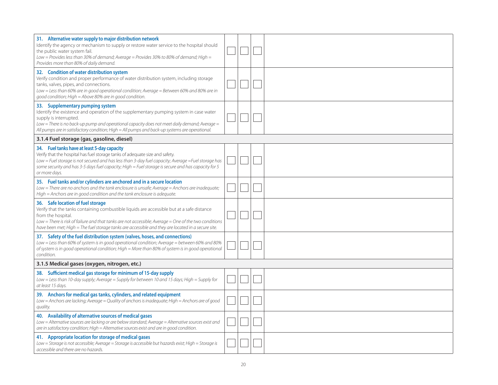| 31. Alternative water supply to major distribution network<br>Identify the agency or mechanism to supply or restore water service to the hospital should<br>the public water system fail.<br>Low = Provides less than 30% of demand; Average = Provides 30% to 80% of demand; High =<br>Provides more than 80% of daily demand.                                      |  |  |
|----------------------------------------------------------------------------------------------------------------------------------------------------------------------------------------------------------------------------------------------------------------------------------------------------------------------------------------------------------------------|--|--|
| 32. Condition of water distribution system<br>Verify condition and proper performance of water distribution system, including storage<br>tanks, valves, pipes, and connections.<br>Low = Less than 60% are in good operational condition; Average = Between 60% and 80% are in<br>good condition; High = Above 80% are in good condition.                            |  |  |
| 33. Supplementary pumping system<br>Identify the existence and operation of the supplementary pumping system in case water<br>supply is interrupted.<br>Low = There is no back-up pump and operational capacity does not meet daily demand; Average =<br>All pumps are in satisfactory condition; High = All pumps and back-up systems are operational.              |  |  |
| 3.1.4 Fuel storage (gas, gasoline, diesel)                                                                                                                                                                                                                                                                                                                           |  |  |
| 34. Fuel tanks have at least 5-day capacity<br>Verify that the hospital has fuel storage tanks of adequate size and safety.<br>Low = Fuel storage is not secured and has less than 3-day fuel capacity; Average = Fuel storage has<br>some security and has 3-5 days fuel capacity; High = Fuel storage is secure and has capacity for 5<br>or more days.            |  |  |
| 35. Fuel tanks and/or cylinders are anchored and in a secure location<br>Low = There are no anchors and the tank enclosure is unsafe; Average = Anchors are inadequate;<br>High = Anchors are in good condition and the tank enclosure is adequate.                                                                                                                  |  |  |
| 36. Safe location of fuel storage<br>Verify that the tanks containing combustible liquids are accessible but at a safe distance<br>from the hospital.<br>Low = There is risk of failure and that tanks are not accessible; Average = One of the two conditions<br>have been met; High = The fuel storage tanks are accessible and they are located in a secure site. |  |  |
| 37. Safety of the fuel distribution system (valves, hoses, and connections)<br>Low = Less than 60% of system is in good operational condition; Average = between 60% and 80%<br>of system is in good operational condition; High = More than 80% of system is in good operational<br>condition.                                                                      |  |  |
| 3.1.5 Medical gases (oxygen, nitrogen, etc.)                                                                                                                                                                                                                                                                                                                         |  |  |
| 38. Sufficient medical gas storage for minimum of 15-day supply<br>Low = Less than 10-day supply; Average = Supply for between 10 and 15 days; High = Supply for<br>at least 15 days.                                                                                                                                                                                |  |  |
| 39. Anchors for medical gas tanks, cylinders, and related equipment<br>Low = Anchors are lacking; Average = Quality of anchors is inadequate; High = Anchors are of good<br>quality.                                                                                                                                                                                 |  |  |
| 40. Availability of alternative sources of medical gases<br>Low = Alternative sources are lacking or are below standard; Average = Alternative sources exist and<br>are in satisfactory condition; High = Alternative sources exist and are in good condition.                                                                                                       |  |  |
| 41. Appropriate location for storage of medical gases<br>Low = Storage is not accessible; Average = Storage is accessible but hazards exist; High = Storage is<br>accessible and there are no hazards.                                                                                                                                                               |  |  |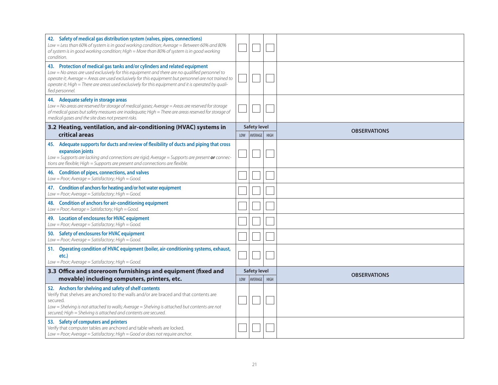| 42. Safety of medical gas distribution system (valves, pipes, connections)<br>Low = Less than 60% of system is in good working condition; Average = Between 60% and 80%<br>of system is in good working condition; High = More than 80% of system is in good working<br>condition.                                                                                                                             |     |                                       |                     |
|----------------------------------------------------------------------------------------------------------------------------------------------------------------------------------------------------------------------------------------------------------------------------------------------------------------------------------------------------------------------------------------------------------------|-----|---------------------------------------|---------------------|
| 43. Protection of medical gas tanks and/or cylinders and related equipment<br>Low = No areas are used exclusively for this equipment and there are no qualified personnel to<br>operate it; Average = Areas are used exclusively for this equipment but personnel are not trained to<br>operate it; High = There are areas used exclusively for this equipment and it is operated by quali-<br>fied personnel. |     |                                       |                     |
| 44. Adequate safety in storage areas<br>Low = No areas are reserved for storage of medical gases; Average = Areas are reserved for storage<br>of medical gases but safety measures are inadequate; High = There are areas reserved for storage of<br>medical gases and the site does not present risks.                                                                                                        |     |                                       |                     |
| 3.2 Heating, ventilation, and air-conditioning (HVAC) systems in<br>critical areas                                                                                                                                                                                                                                                                                                                             | LOW | <b>Safety level</b><br>AVERAGE   HIGH | <b>OBSERVATIONS</b> |
| 45. Adequate supports for ducts and review of flexibility of ducts and piping that cross<br>expansion joints<br>Low = Supports are lacking and connections are rigid; Average = Supports are present or connec-<br>tions are flexible; High = Supports are present and connections are flexible.                                                                                                               |     |                                       |                     |
| 46. Condition of pipes, connections, and valves<br>Low = Poor; Average = Satisfactory; High = Good.                                                                                                                                                                                                                                                                                                            |     |                                       |                     |
| Condition of anchors for heating and/or hot water equipment<br>47.<br>$Low = Poor; Average = Satisfactory; High = Good.$                                                                                                                                                                                                                                                                                       |     |                                       |                     |
| <b>Condition of anchors for air-conditioning equipment</b><br>48.<br>Low = Poor; Average = Satisfactory; High = Good.                                                                                                                                                                                                                                                                                          |     |                                       |                     |
| 49. Location of enclosures for HVAC equipment<br>Low = Poor; Average = Satisfactory; High = Good.                                                                                                                                                                                                                                                                                                              |     |                                       |                     |
| Safety of enclosures for HVAC equipment<br>50.<br>Low = Poor; Average = Satisfactory; High = Good.                                                                                                                                                                                                                                                                                                             |     |                                       |                     |
| 51. Operating condition of HVAC equipment (boiler, air-conditioning systems, exhaust,<br>etc.)<br>$Low = Poor; Average = Satisfactory; High = Good.$                                                                                                                                                                                                                                                           |     |                                       |                     |
| 3.3 Office and storeroom furnishings and equipment (fixed and<br>movable) including computers, printers, etc.                                                                                                                                                                                                                                                                                                  |     | <b>Safety level</b>                   | <b>OBSERVATIONS</b> |
| 52. Anchors for shelving and safety of shelf contents                                                                                                                                                                                                                                                                                                                                                          | LOW | AVERAGE   HIGH                        |                     |
| Verify that shelves are anchored to the walls and/or are braced and that contents are<br>secured.<br>Low = Shelving is not attached to walls; Average = Shelving is attached but contents are not<br>secured; High = Shelving is attached and contents are secured.                                                                                                                                            |     |                                       |                     |
| 53. Safety of computers and printers<br>Verify that computer tables are anchored and table wheels are locked.<br>Low = Poor; Average = Satisfactory; High = Good or does not require anchor.                                                                                                                                                                                                                   |     |                                       |                     |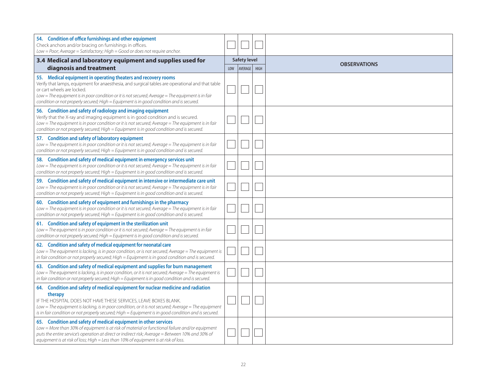| 54. Condition of office furnishings and other equipment<br>Check anchors and/or bracing on furnishings in offices.<br>$Low = Poor$ ; Average = Satisfactory; High = Good or does not require anchor.                                                                                                                                                                                              |     |                     |             |                     |
|---------------------------------------------------------------------------------------------------------------------------------------------------------------------------------------------------------------------------------------------------------------------------------------------------------------------------------------------------------------------------------------------------|-----|---------------------|-------------|---------------------|
| 3.4 Medical and laboratory equipment and supplies used for                                                                                                                                                                                                                                                                                                                                        |     | <b>Safety level</b> |             | <b>OBSERVATIONS</b> |
| diagnosis and treatment                                                                                                                                                                                                                                                                                                                                                                           | LOW | <b>AVERAGE</b>      | <b>HIGH</b> |                     |
| 55. Medical equipment in operating theaters and recovery rooms<br>Verify that lamps, equipment for anaesthesia, and surgical tables are operational and that table<br>or cart wheels are locked.<br>Low = The equipment is in poor condition or it is not secured; Average = The equipment is in fair<br>condition or not properly secured; High = Equipment is in good condition and is secured. |     |                     |             |                     |
| Condition and safety of radiology and imaging equipment<br>56.<br>Verify that the X-ray and imaging equipment is in good condition and is secured.<br>Low = The equipment is in poor condition or it is not secured; Average = The equipment is in fair<br>condition or not properly secured; High = Equipment is in good condition and is secured.                                               |     |                     |             |                     |
| 57. Condition and safety of laboratory equipment<br>Low = The equipment is in poor condition or it is not secured; Average = The equipment is in fair<br>condition or not properly secured; High = Equipment is in good condition and is secured.                                                                                                                                                 |     |                     |             |                     |
| 58. Condition and safety of medical equipment in emergency services unit<br>Low = The equipment is in poor condition or it is not secured; Average = The equipment is in fair<br>condition or not properly secured; High = Equipment is in good condition and is secured.                                                                                                                         |     |                     |             |                     |
| Condition and safety of medical equipment in intensive or intermediate care unit<br>59.<br>Low = The equipment is in poor condition or it is not secured; Average = The equipment is in fair<br>condition or not properly secured; High = Equipment is in good condition and is secured.                                                                                                          |     |                     |             |                     |
| Condition and safety of equipment and furnishings in the pharmacy<br>60.<br>Low = The equipment is in poor condition or it is not secured; Average = The equipment is in fair<br>condition or not properly secured; High = Equipment is in good condition and is secured.                                                                                                                         |     |                     |             |                     |
| 61. Condition and safety of equipment in the sterilization unit<br>Low $=$ The equipment is in poor condition or it is not secured; Average $=$ The equipment is in fair<br>condition or not properly secured; High = Equipment is in good condition and is secured.                                                                                                                              |     |                     |             |                     |
| 62. Condition and safety of medical equipment for neonatal care<br>Low = The equipment is lacking, is in poor condition, or is not secured; Average = The equipment is<br>in fair condition or not properly secured; High $=$ Equipment is in good condition and is secured.                                                                                                                      |     |                     |             |                     |
| 63. Condition and safety of medical equipment and supplies for burn management<br>Low = The equipment is lacking, is in poor condition, or it is not secured; Average = The equipment is<br>in fair condition or not properly secured; High = Equipment is in good condition and is secured.                                                                                                      |     |                     |             |                     |
| 64. Condition and safety of medical equipment for nuclear medicine and radiation                                                                                                                                                                                                                                                                                                                  |     |                     |             |                     |
| therapy<br>IF THE HOSPITAL DOES NOT HAVE THESE SERVICES, LEAVE BOXES BLANK.<br>Low = The equipment is lacking, is in poor condition, or it is not secured; Average = The equipment<br>is in fair condition or not properly secured; High = Equipment is in good condition and is secured.                                                                                                         |     |                     |             |                     |
| 65. Condition and safety of medical equipment in other services<br>Low = More than 30% of equipment is at risk of material or functional failure and/or equipment<br>puts the entire service's operation at direct or indirect risk; Average = Between 10% and 30% of<br>equipment is at risk of loss; High = Less than 10% of equipment is at risk of loss.                                      |     |                     |             |                     |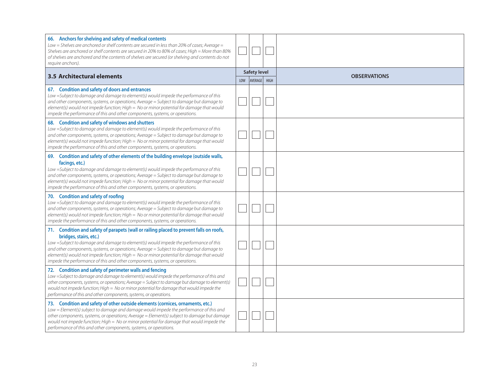| 66. Anchors for shelving and safety of medical contents<br>Low = Shelves are anchored or shelf contents are secured in less than 20% of cases; Average =<br>Shelves are anchored or shelf contents are secured in 20% to 80% of cases; High = More than 80%<br>of shelves are anchored and the contents of shelves are secured (or shelving and contents do not<br>require anchors).                                                                                             |     |                                |      |                     |
|----------------------------------------------------------------------------------------------------------------------------------------------------------------------------------------------------------------------------------------------------------------------------------------------------------------------------------------------------------------------------------------------------------------------------------------------------------------------------------|-----|--------------------------------|------|---------------------|
| 3.5 Architectural elements                                                                                                                                                                                                                                                                                                                                                                                                                                                       | LOW | <b>Safety level</b><br>AVERAGE | HIGH | <b>OBSERVATIONS</b> |
| 67. Condition and safety of doors and entrances<br>Low =Subject to damage and damage to element(s) would impede the performance of this<br>and other components, systems, or operations; Average = Subject to damage but damage to<br>element(s) would not impede function; High = No or minor potential for damage that would<br>impede the performance of this and other components, systems, or operations.                                                                   |     |                                |      |                     |
| 68. Condition and safety of windows and shutters<br>Low =Subject to damage and damage to element(s) would impede the performance of this<br>and other components, systems, or operations; Average = Subject to damage but damage to<br>element(s) would not impede function; High = No or minor potential for damage that would<br>impede the performance of this and other components, systems, or operations.                                                                  |     |                                |      |                     |
| 69. Condition and safety of other elements of the building envelope (outside walls,<br>facings, etc.)<br>Low =Subject to damage and damage to element(s) would impede the performance of this<br>and other components, systems, or operations; Average = Subject to damage but damage to<br>element(s) would not impede function; High = No or minor potential for damage that would<br>impede the performance of this and other components, systems, or operations.             |     |                                |      |                     |
| 70. Condition and safety of roofing<br>Low =Subject to damage and damage to element(s) would impede the performance of this<br>and other components, systems, or operations; Average = Subject to damage but damage to<br>element(s) would not impede function; High = No or minor potential for damage that would<br>impede the performance of this and other components, systems, or operations.                                                                               |     |                                |      |                     |
| 71. Condition and safety of parapets (wall or railing placed to prevent falls on roofs,<br>bridges, stairs, etc.)<br>Low =Subject to damage and damage to element(s) would impede the performance of this<br>and other components, systems, or operations; Average = Subject to damage but damage to<br>element(s) would not impede function; High = No or minor potential for damage that would<br>impede the performance of this and other components, systems, or operations. |     |                                |      |                     |
| 72. Condition and safety of perimeter walls and fencing<br>Low =Subject to damage and damage to element(s) would impede the performance of this and<br>other components, systems, or operations; Average = Subject to damage but damage to element(s)<br>would not impede function; High = No or minor potential for damage that would impede the<br>performance of this and other components, systems, or operations.                                                           |     |                                |      |                     |
| 73. Condition and safety of other outside elements (cornices, ornaments, etc.)<br>Low = Element(s) subject to damage and damage would impede the performance of this and<br>other components, systems, or operations; Average = Element(s) subject to damage but damage<br>would not impede function; High = No or minor potential for damage that would impede the<br>performance of this and other components, systems, or operations.                                         |     |                                |      |                     |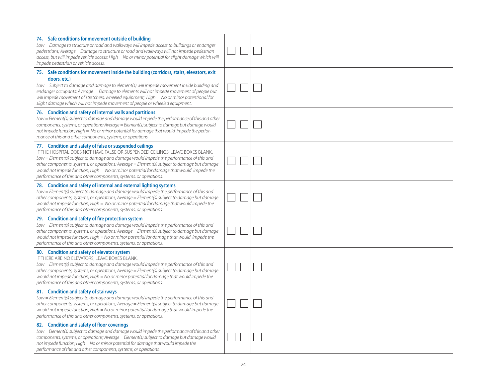| 74. Safe conditions for movement outside of building<br>Low = Damage to structure or road and walkways will impede access to buildings or endanger<br>pedestrians; Average = Damage to structure or road and walkways will not impede pedestrian<br>access, but will impede vehicle access; High = No or minor potential for slight damage which will<br>impede pedestrian or vehicle access.                                                                                                      |  |  |
|----------------------------------------------------------------------------------------------------------------------------------------------------------------------------------------------------------------------------------------------------------------------------------------------------------------------------------------------------------------------------------------------------------------------------------------------------------------------------------------------------|--|--|
| 75. Safe conditions for movement inside the building (corridors, stairs, elevators, exit<br>doors, etc.)<br>Low = Subject to damage and damage to element(s) will impede movement inside building and<br>endanger occupants; Average = Damage to elements will not impede movement of people but<br>will impede movement of stretchers, wheeled equipment; High = No or minor potentional for<br>slight damage which will not impede movement of people or wheeled equipment.                      |  |  |
| 76. Condition and safety of internal walls and partitions<br>Low = Element(s) subject to damage and damage would impede the performance of this and other<br>components, systems, or operations; Average = Element(s) subject to damage but damage would<br>not impede function; High = No or minor potential for damage that would impede the perfor-<br>mance of this and other components, systems, or operations.                                                                              |  |  |
| 77. Condition and safety of false or suspended ceilings<br>IF THE HOSPITAL DOES NOT HAVE FALSE OR SUSPENDED CEILINGS, LEAVE BOXES BLANK.<br>Low = Element(s) subject to damage and damage would impede the performance of this and<br>other components, systems, or operations; Average = Element(s) subject to damage but damage<br>would not impede function; High = No or minor potential for damage that would impede the<br>performance of this and other components, systems, or operations. |  |  |
| 78. Condition and safety of internal and external lighting systems<br>Low = Element(s) subject to damage and damage would impede the performance of this and<br>other components, systems, or operations; Average = Element(s) subject to damage but damage<br>would not impede function; High = $No$ or minor potential for damage that would impede the<br>performance of this and other components, systems, or operations.                                                                     |  |  |
| 79. Condition and safety of fire protection system<br>Low = Element(s) subject to damage and damage would impede the performance of this and<br>other components, systems, or operations; Average = Element(s) subject to damage but damage<br>would not impede function; High = No or minor potential for damage that would impede the<br>performance of this and other components, systems, or operations.                                                                                       |  |  |
| 80. Condition and safety of elevator system<br>IF THERE ARE NO ELEVATORS, LEAVE BOXES BLANK.<br>Low = Element(s) subject to damage and damage would impede the performance of this and<br>other components, systems, or operations; Average = Element(s) subject to damage but damage<br>would not impede function; High = No or minor potential for damage that would impede the<br>performance of this and other components, systems, or operations.                                             |  |  |
| 81. Condition and safety of stairways<br>Low = Element(s) subject to damage and damage would impede the performance of this and<br>other components, systems, or operations; Average = Element(s) subject to damage but damage<br>would not impede function; High = No or minor potential for damage that would impede the<br>performance of this and other components, systems, or operations.                                                                                                    |  |  |
| 82. Condition and safety of floor coverings<br>Low = Element(s) subject to damage and damage would impede the performance of this and other<br>components, systems, or operations; Average = Element(s) subject to damage but damage would<br>not impede function; High = No or minor potential for damage that would impede the<br>performance of this and other components, systems, or operations.                                                                                              |  |  |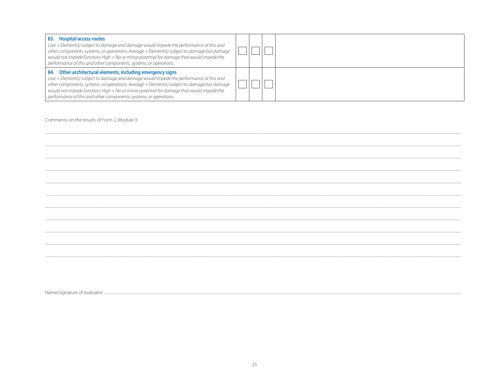| <b>Hospital access routes</b><br>83.<br>$Low = Element(s)$ subject to damage and damage would impede the performance of this and<br>other components, systems, or operations; Average = Element(s) subject to damage but damage<br>would not impede function; High $=$ No or minor potential for damage that would impede the<br>performance of this and other components, systems, or operations.                    |  |  |
|-----------------------------------------------------------------------------------------------------------------------------------------------------------------------------------------------------------------------------------------------------------------------------------------------------------------------------------------------------------------------------------------------------------------------|--|--|
| 84. Other architectural elements, including emergency signs<br>Low = Element(s) subject to damage and damage would impede the performance of this and<br>other components, systems, or operations; Average = Element(s) subject to damage but damage<br>would not impede function; High = No or minor potential for damage that would impede the<br>performance of this and other components, systems, or operations. |  |  |

Comments on the results of Form 2, Module 3: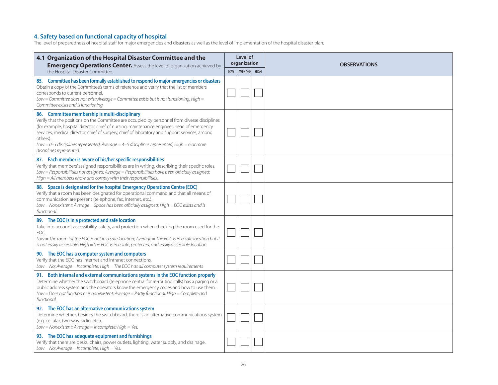#### **4. Safety based on functional capacity of hospital**

The level of preparedness of hospital staff for major emergencies and disasters as well as the level of implementation of the hospital disaster plan.

| 4.1 Organization of the Hospital Disaster Committee and the<br><b>Emergency Operations Center.</b> Assess the level of organization achieved by                                                                                                                                                                                                                                                                                                                                      | Level of<br>organization |         |             | <b>OBSERVATIONS</b> |  |
|--------------------------------------------------------------------------------------------------------------------------------------------------------------------------------------------------------------------------------------------------------------------------------------------------------------------------------------------------------------------------------------------------------------------------------------------------------------------------------------|--------------------------|---------|-------------|---------------------|--|
| the Hospital Disaster Committee.                                                                                                                                                                                                                                                                                                                                                                                                                                                     | LOW                      | AVERAGE | <b>HIGH</b> |                     |  |
| 85. Committee has been formally established to respond to major emergencies or disasters<br>Obtain a copy of the Committee's terms of reference and verify that the list of members<br>corresponds to current personnel.<br>Low = Committee does not exist; Average = Committee exists but is not functioning; High =<br>Committee exists and is functioning.                                                                                                                        |                          |         |             |                     |  |
| 86. Committee membership is multi-disciplinary<br>Verify that the positions on the Committee are occupied by personnel from diverse disciplines<br>(for example, hospital director, chief of nursing, maintenance engineer, head of emergency<br>services, medical director, chief of surgery, chief of laboratory and support services, among<br>others).<br>Low = 0-3 disciplines represented; Average = 4-5 disciplines represented; High = 6 or more<br>disciplines represented. |                          |         |             |                     |  |
| 87. Each member is aware of his/her specific responsibilities<br>Verify that members' assigned responsibilities are in writing, describing their specific roles.<br>Low = Responsibilities not assigned; Average = Responsibilities have been officially assigned;<br>High = All members know and comply with their responsibilities.                                                                                                                                                |                          |         |             |                     |  |
| 88. Space is designated for the hospital Emergency Operations Centre (EOC)<br>Verify that a room has been designated for operational command and that all means of<br>communication are present (telephone, fax, Internet, etc.).<br>Low = Nonexistent; Average = Space has been officially assigned; High = EOC exists and is<br>functional.                                                                                                                                        |                          |         |             |                     |  |
| 89. The EOC is in a protected and safe location<br>Take into account accessibility, safety, and protection when checking the room used for the<br>EOC.<br>Low = The room for the EOC is not in a safe location; Average = The EOC is in a safe location but it<br>is not easily accessible; High =The EOC is in a safe, protected, and easily accessible location.                                                                                                                   |                          |         |             |                     |  |
| 90. The EOC has a computer system and computers<br>Verify that the EOC has Internet and intranet connections.<br>Low = No; Average = Incomplete; High = The EOC has all computer system requirements                                                                                                                                                                                                                                                                                 |                          |         |             |                     |  |
| 91. Both internal and external communications systems in the EOC function properly<br>Determine whether the switchboard (telephone central for re-routing calls) has a paging or a<br>public address system and the operators know the emergency codes and how to use them.<br>Low = Does not function or is nonexistent; Average = Partly functional; High = Complete and<br>functional.                                                                                            |                          |         |             |                     |  |
| 92. The EOC has an alternative communications system<br>Determine whether, besides the switchboard, there is an alternative communications system<br>(e.g. cellular, two-way radio, etc.).<br>Low = Nonexistent; Average = Incomplete; High = Yes.                                                                                                                                                                                                                                   |                          |         |             |                     |  |
| 93. The EOC has adequate equipment and furnishings<br>Verify that there are desks, chairs, power outlets, lighting, water supply, and drainage.<br>$Low = No$ ; Average = Incomplete; High = Yes.                                                                                                                                                                                                                                                                                    |                          |         |             |                     |  |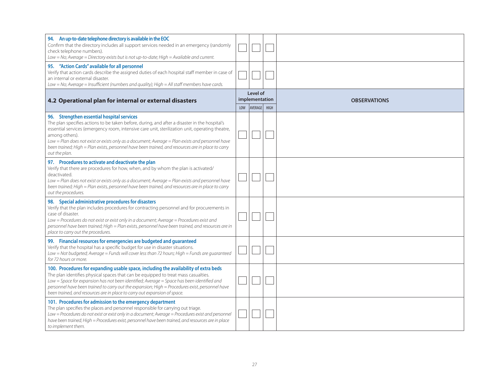| 94. An up-to-date telephone directory is available in the EOC<br>Confirm that the directory includes all support services needed in an emergency (randomly<br>check telephone numbers).<br>Low = No; Average = Directory exists but is not up-to-date; High = Available and current.                                                                                                                                                                                                        |     |                                       |      |                     |
|---------------------------------------------------------------------------------------------------------------------------------------------------------------------------------------------------------------------------------------------------------------------------------------------------------------------------------------------------------------------------------------------------------------------------------------------------------------------------------------------|-----|---------------------------------------|------|---------------------|
| 95. "Action Cards" available for all personnel<br>Verify that action cards describe the assigned duties of each hospital staff member in case of<br>an internal or external disaster.<br>Low = No; Average = Insufficient (numbers and quality); High = All staff members have cards.                                                                                                                                                                                                       |     |                                       |      |                     |
| 4.2 Operational plan for internal or external disasters                                                                                                                                                                                                                                                                                                                                                                                                                                     | LOW | Level of<br>implementation<br>AVERAGE | HIGH | <b>OBSERVATIONS</b> |
| 96. Strengthen essential hospital services<br>The plan specifies actions to be taken before, during, and after a disaster in the hospital's<br>essential services (emergency room, intensive care unit, sterilization unit, operating theatre,<br>among others).<br>Low = Plan does not exist or exists only as a document; Average = Plan exists and personnel have<br>been trained; High = Plan exists, personnel have been trained, and resources are in place to carry<br>out the plan. |     |                                       |      |                     |
| 97. Procedures to activate and deactivate the plan<br>Verify that there are procedures for how, when, and by whom the plan is activated/<br>deactivated.<br>Low = Plan does not exist or exists only as a document; Average = Plan exists and personnel have<br>been trained; High = Plan exists, personnel have been trained, and resources are in place to carry<br>out the procedures.                                                                                                   |     |                                       |      |                     |
| 98. Special administrative procedures for disasters<br>Verify that the plan includes procedures for contracting personnel and for procurements in<br>case of disaster.<br>Low = Procedures do not exist or exist only in a document; Average = Procedures exist and<br>personnel have been trained; High = Plan exists, personnel have been trained, and resources are in<br>place to carry out the procedures.                                                                             |     |                                       |      |                     |
| 99. Financial resources for emergencies are budgeted and guaranteed<br>Verify that the hospital has a specific budget for use in disaster situations.<br>Low = Not budgeted; Average = Funds will cover less than 72 hours; High = Funds are guaranteed<br>for 72 hours or more.                                                                                                                                                                                                            |     |                                       |      |                     |
| 100. Procedures for expanding usable space, including the availability of extra beds<br>The plan identifies physical spaces that can be equipped to treat mass casualties.<br>Low = Space for expansion has not been identified; Average = Space has been identified and<br>personnel have been trained to carry out the expansion; High = Procedures exist, personnel have<br>been trained, and resources are in place to carry out expansion of space.                                    |     |                                       |      |                     |
| 101. Procedures for admission to the emergency department<br>The plan specifies the places and personnel responsible for carrying out triage.<br>Low = Procedures do not exist or exist only in a document; Average = Procedures exist and personnel<br>have been trained; High = Procedures exist, personnel have been trained, and resources are in place<br>to implement them.                                                                                                           |     |                                       |      |                     |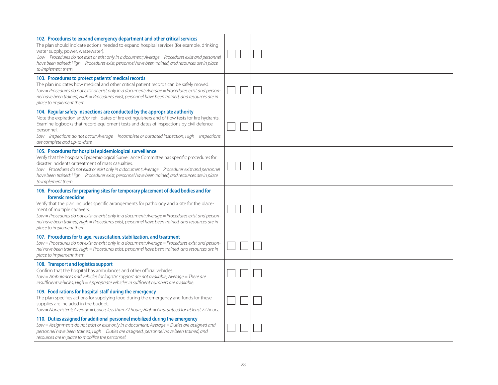| 102. Procedures to expand emergency department and other critical services<br>The plan should indicate actions needed to expand hospital services (for example, drinking<br>water supply, power, wastewater).<br>Low = Procedures do not exist or exist only in a document; Average = Procedures exist and personnel<br>have been trained; High = Procedures exist, personnel have been trained, and resources are in place<br>to implement them.                          |  |  |
|----------------------------------------------------------------------------------------------------------------------------------------------------------------------------------------------------------------------------------------------------------------------------------------------------------------------------------------------------------------------------------------------------------------------------------------------------------------------------|--|--|
| 103. Procedures to protect patients' medical records<br>The plan indicates how medical and other critical patient records can be safely moved.<br>Low = Procedures do not exist or exist only in a document; Average = Procedures exist and person-<br>nel have been trained; High = Procedures exist, personnel have been trained, and resources are in<br>place to implement them.                                                                                       |  |  |
| 104. Regular safety inspections are conducted by the appropriate authority<br>Note the expiration and/or refill dates of fire extinguishers and of flow tests for fire hydrants.<br>Examine logbooks that record equipment tests and dates of inspections by civil defence<br>personnel.<br>Low = Inspections do not occur; Average = Incomplete or outdated inspection; High = Inspections<br>are complete and up-to-date.                                                |  |  |
| 105. Procedures for hospital epidemiological surveillance<br>Verify that the hospital's Epidemiological Surveillance Committee has specific procedures for<br>disaster incidents or treatment of mass casualties.<br>Low = Procedures do not exist or exist only in a document; Average = Procedures exist and personnel<br>have been trained; High = Procedures exist, personnel have been trained, and resources are in place<br>to implement them.                      |  |  |
| 106. Procedures for preparing sites for temporary placement of dead bodies and for<br>forensic medicine<br>Verify that the plan includes specific arrangements for pathology and a site for the place-<br>ment of multiple cadavers.<br>Low = Procedures do not exist or exist only in a document; Average = Procedures exist and person-<br>nel have been trained; High = Procedures exist, personnel have been trained, and resources are in<br>place to implement them. |  |  |
| 107. Procedures for triage, resuscitation, stabilization, and treatment<br>Low = Procedures do not exist or exist only in a document; Average = Procedures exist and person-<br>nel have been trained; High = Procedures exist, personnel have been trained, and resources are in<br>place to implement them.                                                                                                                                                              |  |  |
| 108. Transport and logistics support<br>Confirm that the hospital has ambulances and other official vehicles.<br>Low = Ambulances and vehicles for logistic support are not available; Average = There are<br>insufficient vehicles; High = Appropriate vehicles in sufficient numbers are available.                                                                                                                                                                      |  |  |
| 109. Food rations for hospital staff during the emergency<br>The plan specifies actions for supplying food during the emergency and funds for these<br>supplies are included in the budget.<br>Low = Nonexistent; Average = Covers less than 72 hours; High = Guaranteed for at least 72 hours.                                                                                                                                                                            |  |  |
| 110. Duties assigned for additional personnel mobilized during the emergency<br>Low = Assignments do not exist or exist only in a document; Average = Duties are assigned and<br>personnel have been trained; High = Duties are assigned, personnel have been trained, and<br>resources are in place to mobilize the personnel.                                                                                                                                            |  |  |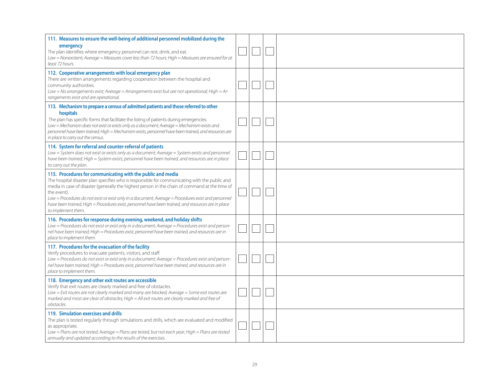| 111. Measures to ensure the well-being of additional personnel mobilized during the<br>emergency<br>The plan identifies where emergency personnel can rest, drink, and eat.<br>Low = Nonexistent; Average = Measures cover less than 72 hours; High = Measures are ensured for at<br>least 72 hours.                                                                                                                                                                                                              |  |  |
|-------------------------------------------------------------------------------------------------------------------------------------------------------------------------------------------------------------------------------------------------------------------------------------------------------------------------------------------------------------------------------------------------------------------------------------------------------------------------------------------------------------------|--|--|
| 112. Cooperative arrangements with local emergency plan<br>There are written arrangements regarding cooperation between the hospital and<br>community authorities.<br>Low = No arrangements exist; Average = Arrangements exist but are not operational; High = Ar-<br>rangements exist and are operational.                                                                                                                                                                                                      |  |  |
| 113. Mechanism to prepare a census of admitted patients and those referred to other<br>hospitals<br>The plan has specific forms that facilitate the listing of patients during emergencies.<br>Low = Mechanism does not exist or exists only as a document; Average = Mechanism exists and<br>personnel have been trained; High = Mechanism exists, personnel have been trained, and resources are<br>in place to carry out the census.                                                                           |  |  |
| 114. System for referral and counter-referral of patients<br>Low = System does not exist or exists only as a document; Average = System exists and personnel<br>have been trained; High = System exists, personnel have been trained, and resources are in place<br>to carry out the plan.                                                                                                                                                                                                                        |  |  |
| 115. Procedures for communicating with the public and media<br>The hospital disaster plan specifies who is responsible for communicating with the public and<br>media in case of disaster (generally the highest person in the chain of command at the time of<br>the event).<br>Low = Procedures do not exist or exist only in a document; Average = Procedures exist and personnel<br>have been trained; High = Procedures exist, personnel have been trained, and resources are in place<br>to implement them. |  |  |
| 116. Procedures for response during evening, weekend, and holiday shifts<br>Low = Procedures do not exist or exist only in a document; Average = Procedures exist and person-<br>nel have been trained; High = Procedures exist, personnel have been trained, and resources are in<br>place to implement them.                                                                                                                                                                                                    |  |  |
| 117. Procedures for the evacuation of the facility<br>Verify procedures to evacuate patients, visitors, and staff.<br>Low = Procedures do not exist or exist only in a document; Average = Procedures exist and person-<br>nel have been trained; High = Procedures exist, personnel have been trained, and resources are in<br>place to implement them.                                                                                                                                                          |  |  |
| 118. Emergency and other exit routes are accessible<br>Verify that exit routes are clearly marked and free of obstacles.<br>Low = Exit routes are not clearly marked and many are blocked; Average = Some exit routes are<br>marked and most are clear of obstacles; High = All exit routes are clearly marked and free of<br>obstacles.                                                                                                                                                                          |  |  |
| 119. Simulation exercises and drills<br>The plan is tested regularly through simulations and drills, which are evaluated and modified<br>as appropriate.<br>Low = Plans are not tested; Average = Plans are tested, but not each year; High = Plans are tested<br>annually and updated according to the results of the exercises.                                                                                                                                                                                 |  |  |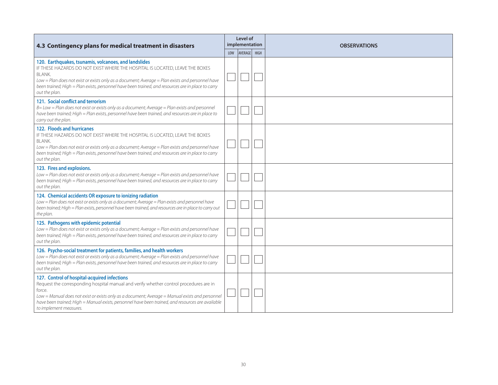| 4.3 Contingency plans for medical treatment in disasters                                                                                                                                                                                                                                                                                                                           | Level of<br>implementation |         |      | <b>OBSERVATIONS</b> |
|------------------------------------------------------------------------------------------------------------------------------------------------------------------------------------------------------------------------------------------------------------------------------------------------------------------------------------------------------------------------------------|----------------------------|---------|------|---------------------|
|                                                                                                                                                                                                                                                                                                                                                                                    | <b>LOW</b>                 | AVERAGE | HIGH |                     |
| 120. Earthquakes, tsunamis, volcanoes, and landslides<br>IF THESE HAZARDS DO NOT EXIST WHERE THE HOSPITAL IS LOCATED, LEAVE THE BOXES<br><b>BLANK.</b><br>Low = Plan does not exist or exists only as a document; Average = Plan exists and personnel have<br>been trained; High = Plan exists, personnel have been trained, and resources are in place to carry<br>out the plan.  |                            |         |      |                     |
| 121. Social conflict and terrorism<br>$B = Low = Plan$ does not exist or exists only as a document; Average = Plan exists and personnel<br>have been trained; High = Plan exists, personnel have been trained, and resources are in place to<br>carry out the plan.                                                                                                                |                            |         |      |                     |
| 122. Floods and hurricanes<br>IF THESE HAZARDS DO NOT EXIST WHERE THE HOSPITAL IS LOCATED, LEAVE THE BOXES<br><b>BLANK.</b><br>Low = Plan does not exist or exists only as a document; Average = Plan exists and personnel have<br>been trained; High = Plan exists, personnel have been trained, and resources are in place to carry<br>out the plan.                             |                            |         |      |                     |
| 123. Fires and explosions.<br>Low = Plan does not exist or exists only as a document; Average = Plan exists and personnel have<br>been trained; High = Plan exists, personnel have been trained, and resources are in place to carry<br>out the plan.                                                                                                                              |                            |         |      |                     |
| 124. Chemical accidents OR exposure to ionizing radiation<br>Low = Plan does not exist or exists only as a document; Average = Plan exists and personnel have<br>been trained; High = Plan exists, personnel have been trained, and resources are in place to carry out<br>the plan.                                                                                               |                            |         |      |                     |
| 125. Pathogens with epidemic potential<br>Low = Plan does not exist or exists only as a document; Average = Plan exists and personnel have<br>been trained; High = Plan exists, personnel have been trained, and resources are in place to carry<br>out the plan.                                                                                                                  |                            |         |      |                     |
| 126. Psycho-social treatment for patients, families, and health workers<br>Low = Plan does not exist or exists only as a document; Average = Plan exists and personnel have<br>been trained; High = Plan exists, personnel have been trained, and resources are in place to carry<br>out the plan.                                                                                 |                            |         |      |                     |
| 127. Control of hospital-acquired infections<br>Request the corresponding hospital manual and verify whether control procedures are in<br>force.<br>Low = Manual does not exist or exists only as a document; Average = Manual exists and personnel<br>have been trained; High = Manual exists, personnel have been trained, and resources are available<br>to implement measures. |                            |         |      |                     |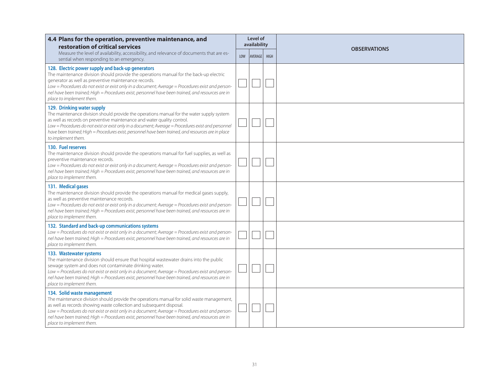| 4.4 Plans for the operation, preventive maintenance, and<br>restoration of critical services                                                                                                                                                                                                                                                                                                                                              |     | Level of<br>availability | <b>OBSERVATIONS</b> |
|-------------------------------------------------------------------------------------------------------------------------------------------------------------------------------------------------------------------------------------------------------------------------------------------------------------------------------------------------------------------------------------------------------------------------------------------|-----|--------------------------|---------------------|
| Measure the level of availability, accessibility, and relevance of documents that are es-<br>sential when responding to an emergency.                                                                                                                                                                                                                                                                                                     | LOW | AVERAGE HIGH             |                     |
| 128. Electric power supply and back-up generators<br>The maintenance division should provide the operations manual for the back-up electric<br>generator as well as preventive maintenance records.<br>Low = Procedures do not exist or exist only in a document; Average = Procedures exist and person-<br>nel have been trained; High = Procedures exist, personnel have been trained, and resources are in<br>place to implement them. |     |                          |                     |
| 129. Drinking water supply<br>The maintenance division should provide the operations manual for the water supply system<br>as well as records on preventive maintenance and water quality control.<br>Low = Procedures do not exist or exist only in a document; Average = Procedures exist and personnel<br>have been trained; High = Procedures exist, personnel have been trained, and resources are in place<br>to implement them.    |     |                          |                     |
| 130. Fuel reserves<br>The maintenance division should provide the operations manual for fuel supplies, as well as<br>preventive maintenance records.<br>Low = Procedures do not exist or exist only in a document; Average = Procedures exist and person-<br>nel have been trained; High = Procedures exist, personnel have been trained, and resources are in<br>place to implement them.                                                |     |                          |                     |
| 131. Medical gases<br>The maintenance division should provide the operations manual for medical gases supply,<br>as well as preventive maintenance records.<br>Low = Procedures do not exist or exist only in a document; Average = Procedures exist and person-<br>nel have been trained; High = Procedures exist, personnel have been trained, and resources are in<br>place to implement them.                                         |     |                          |                     |
| 132. Standard and back-up communications systems<br>Low = Procedures do not exist or exist only in a document; Average = Procedures exist and person-<br>nel have been trained; High = Procedures exist, personnel have been trained, and resources are in<br>place to implement them.                                                                                                                                                    |     |                          |                     |
| 133. Wastewater systems<br>The maintenance division should ensure that hospital wastewater drains into the public<br>sewage system and does not contaminate drinking water.<br>Low = Procedures do not exist or exist only in a document; Average = Procedures exist and person-<br>nel have been trained; High = Procedures exist, personnel have been trained, and resources are in<br>place to implement them.                         |     |                          |                     |
| 134. Solid waste management<br>The maintenance division should provide the operations manual for solid waste management,<br>as well as records showing waste collection and subsequent disposal.<br>Low = Procedures do not exist or exist only in a document; Average = Procedures exist and person-<br>nel have been trained; High = Procedures exist, personnel have been trained, and resources are in<br>place to implement them.    |     |                          |                     |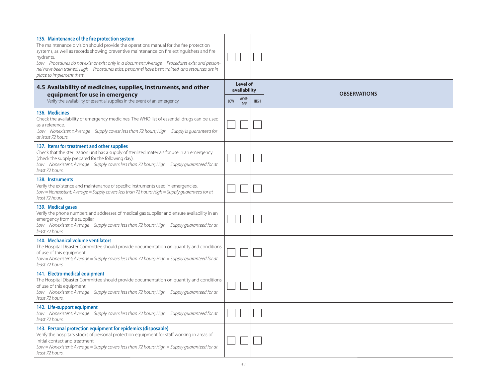| 135. Maintenance of the fire protection system<br>The maintenance division should provide the operations manual for the fire protection<br>systems, as well as records showing preventive maintenance on fire extinguishers and fire<br>hydrants.<br>Low = Procedures do not exist or exist only in a document; Average = Procedures exist and person-<br>nel have been trained; High = Procedures exist, personnel have been trained, and resources are in<br>place to implement them. |     |              |             |                          |  |                     |
|-----------------------------------------------------------------------------------------------------------------------------------------------------------------------------------------------------------------------------------------------------------------------------------------------------------------------------------------------------------------------------------------------------------------------------------------------------------------------------------------|-----|--------------|-------------|--------------------------|--|---------------------|
| 4.5 Availability of medicines, supplies, instruments, and other                                                                                                                                                                                                                                                                                                                                                                                                                         |     |              |             | Level of<br>availability |  | <b>OBSERVATIONS</b> |
| equipment for use in emergency<br>Verify the availability of essential supplies in the event of an emergency.                                                                                                                                                                                                                                                                                                                                                                           | LOW | AVER-<br>AGE | <b>HIGH</b> |                          |  |                     |
| 136. Medicines<br>Check the availability of emergency medicines. The WHO list of essential drugs can be used<br>as a reference.<br>Low = Nonexistent; Average = Supply covesr less than 72 hours; High = Supply is guaranteed for<br>at least 72 hours.                                                                                                                                                                                                                                 |     |              |             |                          |  |                     |
| 137. Items for treatment and other supplies<br>Check that the sterilization unit has a supply of sterilized materials for use in an emergency<br>(check the supply prepared for the following day).<br>Low = Nonexistent; Average = Supply covers less than 72 hours; High = Supply quaranteed for at<br>least 72 hours.                                                                                                                                                                |     |              |             |                          |  |                     |
| 138. Instruments<br>Verify the existence and maintenance of specific instruments used in emergencies.<br>Low = Nonexistent; Average = Supply covers less than 72 hours; High = Supply guaranteed for at<br>least 72 hours.                                                                                                                                                                                                                                                              |     |              |             |                          |  |                     |
| 139. Medical gases<br>Verify the phone numbers and addresses of medical gas supplier and ensure availability in an<br>emergency from the supplier.<br>Low = Nonexistent; Average = Supply covers less than 72 hours; High = Supply quaranteed for at<br>least 72 hours.                                                                                                                                                                                                                 |     |              |             |                          |  |                     |
| 140. Mechanical volume ventilators<br>The Hospital Disaster Committee should provide documentation on quantity and conditions<br>of use of this equipment.<br>Low = Nonexistent; Average = Supply covers less than 72 hours; High = Supply quaranteed for at<br>least 72 hours.                                                                                                                                                                                                         |     |              |             |                          |  |                     |
| 141. Electro-medical equipment<br>The Hospital Disaster Committee should provide documentation on quantity and conditions<br>of use of this equipment.<br>Low = Nonexistent; Average = Supply covers less than 72 hours; High = Supply guaranteed for at<br>least 72 hours.                                                                                                                                                                                                             |     |              |             |                          |  |                     |
| 142. Life-support equipment<br>Low = Nonexistent; Average = Supply covers less than 72 hours; High = Supply guaranteed for at<br>least 72 hours.                                                                                                                                                                                                                                                                                                                                        |     |              |             |                          |  |                     |
| 143. Personal protection equipment for epidemics (disposable)<br>Verify the hospital's stocks of personal protection equipment for staff working in areas of<br>initial contact and treatment.<br>Low = Nonexistent; Average = Supply covers less than 72 hours; High = Supply guaranteed for at<br>least 72 hours.                                                                                                                                                                     |     |              |             |                          |  |                     |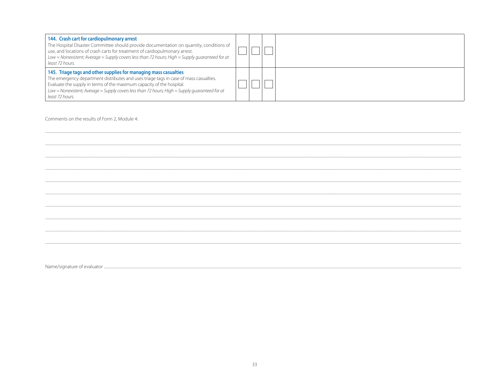| 144. Crash cart for cardiopulmonary arrest<br>The Hospital Disaster Committee should provide documentation on quantity, conditions of<br>use, and locations of crash carts for treatment of cardiopulmonary arrest.<br>Low = Nonexistent; Average = Supply covers less than 72 hours; High = Supply quaranteed for at<br>least 72 hours.                |  |  |
|---------------------------------------------------------------------------------------------------------------------------------------------------------------------------------------------------------------------------------------------------------------------------------------------------------------------------------------------------------|--|--|
| 145. Triage tags and other supplies for managing mass casualties<br>The emergency department distributes and uses triage tags in case of mass casualties.<br>Evaluate the supply in terms of the maximum capacity of the hospital.<br>Low = Nonexistent; Average = Supply covers less than 72 hours; High = Supply quaranteed for at<br>least 72 hours. |  |  |

Comments on the results of Form 2, Module 4: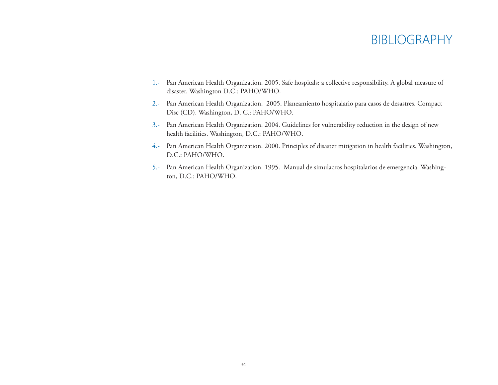## BIBLIOGRAPHY

- 1.- Pan American Health Organization. 2005. Safe hospitals: a collective responsibility. A global measure of disaster. Washington D.C.: PAHO/WHO.
- 2.- Pan American Health Organization. 2005. Planeamiento hospitalario para casos de desastres. Compact Disc (CD). Washington, D. C.: PAHO/WHO.
- 3.- Pan American Health Organization. 2004. Guidelines for vulnerability reduction in the design of new health facilities. Washington, D.C.: PAHO/WHO.
- 4.- Pan American Health Organization. 2000. Principles of disaster mitigation in health facilities. Washington, D.C.: PAHO/WHO.
- 5.- Pan American Health Organization. 1995. Manual de simulacros hospitalarios de emergencia. Washington, D.C.: PAHO/WHO.